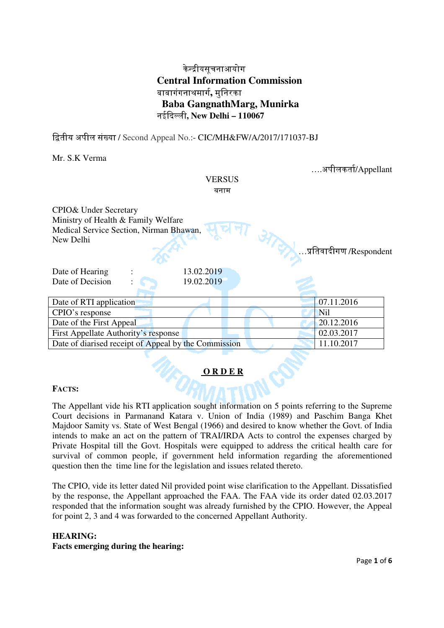# केीयसूचनाआयोग **Central Information Commission**  बाबागंगनाथमाग**,** मुिनरका  **Baba GangnathMarg, Munirka**  नईदली**, New Delhi – 110067**

ितीय अपील संया / Second Appeal No.:- CIC/MH&FW/A/2017/171037-BJ

Mr. S.K Verma

|                                                                                | <b>VERSUS</b><br>बनाम |  | अपीलकर्ता/Appellant |
|--------------------------------------------------------------------------------|-----------------------|--|---------------------|
| CPIO& Under Secretary                                                          |                       |  |                     |
| Ministry of Health & Family Welfare<br>Medical Service Section, Nirman Bhawan, |                       |  |                     |
| New Delhi                                                                      |                       |  |                     |
| …प्रतिवादीगण /Respondent                                                       |                       |  |                     |
| Date of Hearing                                                                | 13.02.2019            |  |                     |
| Date of Decision                                                               | 19.02.2019            |  |                     |
|                                                                                |                       |  |                     |
| Date of RTI application                                                        |                       |  | 07.11.2016          |
| CPIO's response                                                                |                       |  | <b>Nil</b>          |
| Date of the First Appeal                                                       |                       |  | 20.12.2016          |
| First Appellate Authority's response                                           |                       |  | 02.03.2017          |
| Date of diarised receipt of Appeal by the Commission                           |                       |  | 11.10.2017          |

## **O R D E R**

## **FACTS:**

The Appellant vide his RTI application sought information on 5 points referring to the Supreme Court decisions in Parmanand Katara v. Union of India (1989) and Paschim Banga Khet Majdoor Samity vs. State of West Bengal (1966) and desired to know whether the Govt. of India intends to make an act on the pattern of TRAI/IRDA Acts to control the expenses charged by Private Hospital till the Govt. Hospitals were equipped to address the critical health care for survival of common people, if government held information regarding the aforementioned question then the time line for the legislation and issues related thereto.

The CPIO, vide its letter dated Nil provided point wise clarification to the Appellant. Dissatisfied by the response, the Appellant approached the FAA. The FAA vide its order dated 02.03.2017 responded that the information sought was already furnished by the CPIO. However, the Appeal for point 2, 3 and 4 was forwarded to the concerned Appellant Authority.

#### **HEARING:**

**Facts emerging during the hearing:**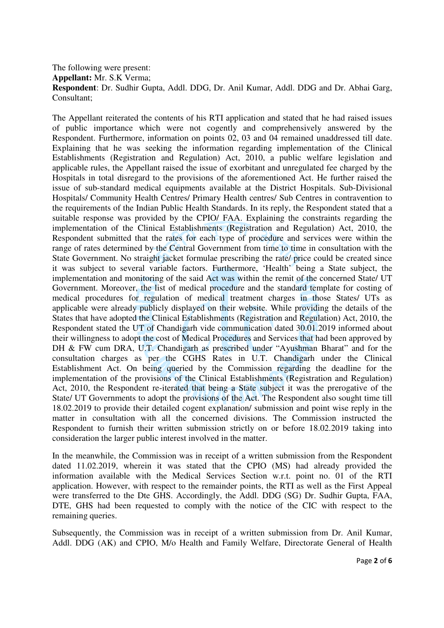The following were present: **Appellant:** Mr. S.K Verma; **Respondent**: Dr. Sudhir Gupta, Addl. DDG, Dr. Anil Kumar, Addl. DDG and Dr. Abhai Garg, Consultant;

The Appellant reiterated the contents of his RTI application and stated that he had raised issues of public importance which were not cogently and comprehensively answered by the Respondent. Furthermore, information on points 02, 03 and 04 remained unaddressed till date. Explaining that he was seeking the information regarding implementation of the Clinical Establishments (Registration and Regulation) Act, 2010, a public welfare legislation and applicable rules, the Appellant raised the issue of exorbitant and unregulated fee charged by the Hospitals in total disregard to the provisions of the aforementioned Act. He further raised the issue of sub-standard medical equipments available at the District Hospitals. Sub-Divisional Hospitals/ Community Health Centres/ Primary Health centres/ Sub Centres in contravention to the requirements of the Indian Public Health Standards. In its reply, the Respondent stated that a suitable response was provided by the CPIO/ FAA. Explaining the constraints regarding the implementation of the Clinical Establishments (Registration and Regulation) Act, 2010, the Respondent submitted that the rates for each type of procedure and services were within the range of rates determined by the Central Government from time to time in consultation with the State Government. No straight jacket formulae prescribing the rate/ price could be created since it was subject to several variable factors. Furthermore, 'Health' being a State subject, the implementation and monitoring of the said Act was within the remit of the concerned State/ UT Government. Moreover, the list of medical procedure and the standard template for costing of medical procedures for regulation of medical treatment charges in those States/ UTs as applicable were already publicly displayed on their website. While providing the details of the States that have adopted the Clinical Establishments (Registration and Regulation) Act, 2010, the Respondent stated the UT of Chandigarh vide communication dated 30.01.2019 informed about their willingness to adopt the cost of Medical Procedures and Services that had been approved by DH & FW cum DRA, U.T. Chandigarh as prescribed under "Ayushman Bharat" and for the consultation charges as per the CGHS Rates in U.T. Chandigarh under the Clinical Establishment Act. On being queried by the Commission regarding the deadline for the implementation of the provisions of the Clinical Establishments (Registration and Regulation) Act, 2010, the Respondent re-iterated that being a State subject it was the prerogative of the State/ UT Governments to adopt the provisions of the Act. The Respondent also sought time till 18.02.2019 to provide their detailed cogent explanation/ submission and point wise reply in the matter in consultation with all the concerned divisions. The Commission instructed the Respondent to furnish their written submission strictly on or before 18.02.2019 taking into consideration the larger public interest involved in the matter.

In the meanwhile, the Commission was in receipt of a written submission from the Respondent dated 11.02.2019, wherein it was stated that the CPIO (MS) had already provided the information available with the Medical Services Section w.r.t. point no. 01 of the RTI application. However, with respect to the remainder points, the RTI as well as the First Appeal were transferred to the Dte GHS. Accordingly, the Addl. DDG (SG) Dr. Sudhir Gupta, FAA, DTE, GHS had been requested to comply with the notice of the CIC with respect to the remaining queries.

Subsequently, the Commission was in receipt of a written submission from Dr. Anil Kumar, Addl. DDG (AK) and CPIO, M/o Health and Family Welfare, Directorate General of Health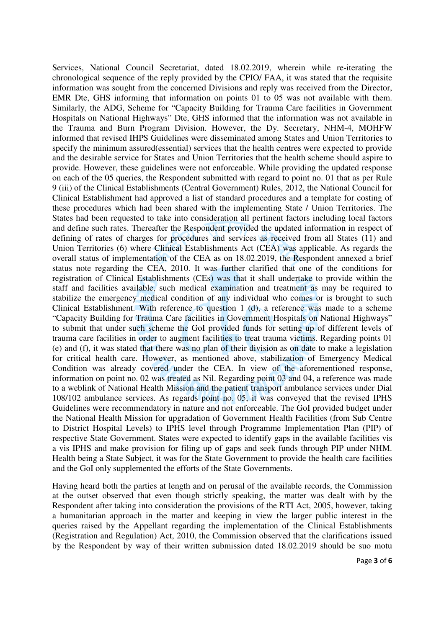Services, National Council Secretariat, dated 18.02.2019, wherein while re-iterating the chronological sequence of the reply provided by the CPIO/ FAA, it was stated that the requisite information was sought from the concerned Divisions and reply was received from the Director, EMR Dte, GHS informing that information on points 01 to 05 was not available with them. Similarly, the ADG, Scheme for "Capacity Building for Trauma Care facilities in Government Hospitals on National Highways" Dte, GHS informed that the information was not available in the Trauma and Burn Program Division. However, the Dy. Secretary, NHM-4, MOHFW informed that revised IHPS Guidelines were disseminated among States and Union Territories to specify the minimum assured(essential) services that the health centres were expected to provide and the desirable service for States and Union Territories that the health scheme should aspire to provide. However, these guidelines were not enforceable. While providing the updated response on each of the 05 queries, the Respondent submitted with regard to point no. 01 that as per Rule 9 (iii) of the Clinical Establishments (Central Government) Rules, 2012, the National Council for Clinical Establishment had approved a list of standard procedures and a template for costing of these procedures which had been shared with the implementing State / Union Territories. The States had been requested to take into consideration all pertinent factors including local factors and define such rates. Thereafter the Respondent provided the updated information in respect of defining of rates of charges for procedures and services as received from all States (11) and Union Territories (6) where Clinical Establishments Act (CEA) was applicable. As regards the overall status of implementation of the CEA as on 18.02.2019, the Respondent annexed a brief status note regarding the CEA, 2010. It was further clarified that one of the conditions for registration of Clinical Establishments (CEs) was that it shall undertake to provide within the staff and facilities available, such medical examination and treatment as may be required to stabilize the emergency medical condition of any individual who comes or is brought to such Clinical Establishment. With reference to question 1 (d), a reference was made to a scheme "Capacity Building for Trauma Care facilities in Government Hospitals on National Highways" to submit that under such scheme the GoI provided funds for setting up of different levels of trauma care facilities in order to augment facilities to treat trauma victims. Regarding points 01 (e) and (f), it was stated that there was no plan of their division as on date to make a legislation for critical health care. However, as mentioned above, stabilization of Emergency Medical Condition was already covered under the CEA. In view of the aforementioned response, information on point no. 02 was treated as Nil. Regarding point 03 and 04, a reference was made to a weblink of National Health Mission and the patient transport ambulance services under Dial 108/102 ambulance services. As regards point no. 05, it was conveyed that the revised IPHS Guidelines were recommendatory in nature and not enforceable. The GoI provided budget under the National Health Mission for upgradation of Government Health Facilities (from Sub Centre to District Hospital Levels) to IPHS level through Programme Implementation Plan (PIP) of respective State Government. States were expected to identify gaps in the available facilities vis a vis IPHS and make provision for filing up of gaps and seek funds through PIP under NHM. Health being a State Subject, it was for the State Government to provide the health care facilities and the GoI only supplemented the efforts of the State Governments.

Having heard both the parties at length and on perusal of the available records, the Commission at the outset observed that even though strictly speaking, the matter was dealt with by the Respondent after taking into consideration the provisions of the RTI Act, 2005, however, taking a humanitarian approach in the matter and keeping in view the larger public interest in the queries raised by the Appellant regarding the implementation of the Clinical Establishments (Registration and Regulation) Act, 2010, the Commission observed that the clarifications issued by the Respondent by way of their written submission dated 18.02.2019 should be suo motu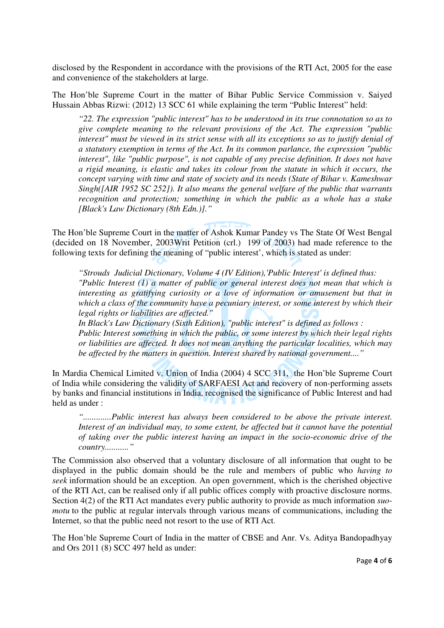disclosed by the Respondent in accordance with the provisions of the RTI Act, 2005 for the ease and convenience of the stakeholders at large.

The Hon'ble Supreme Court in the matter of Bihar Public Service Commission v. Saiyed Hussain Abbas Rizwi: (2012) 13 SCC 61 while explaining the term "Public Interest" held:

*"22. The expression "public interest" has to be understood in its true connotation so as to give complete meaning to the relevant provisions of the Act. The expression "public interest" must be viewed in its strict sense with all its exceptions so as to justify denial of a statutory exemption in terms of the Act. In its common parlance, the expression "public interest", like "public purpose", is not capable of any precise definition. It does not have a rigid meaning, is elastic and takes its colour from the statute in which it occurs, the concept varying with time and state of society and its needs (State of Bihar v. Kameshwar Singh([AIR 1952 SC 252]). It also means the general welfare of the public that warrants recognition and protection; something in which the public as a whole has a stake [Black's Law Dictionary (8th Edn.)]."* 

The Hon'ble Supreme Court in the matter of Ashok Kumar Pandey vs The State Of West Bengal (decided on 18 November, 2003Writ Petition (crl.) 199 of 2003) had made reference to the following texts for defining the meaning of "public interest', which is stated as under:

*"Strouds Judicial Dictionary, Volume 4 (IV Edition),'Public Interest' is defined thus: "Public Interest (1) a matter of public or general interest does not mean that which is interesting as gratifying curiosity or a love of information or amusement but that in which a class of the community have a pecuniary interest, or some interest by which their legal rights or liabilities are affected."* 

*In Black's Law Dictionary (Sixth Edition), "public interest" is defined as follows : Public Interest something in which the public, or some interest by which their legal rights or liabilities are affected. It does not mean anything the particular localities, which may be affected by the matters in question. Interest shared by national government...."* 

In Mardia Chemical Limited v. Union of India (2004) 4 SCC 311, the Hon'ble Supreme Court of India while considering the validity of SARFAESI Act and recovery of non-performing assets by banks and financial institutions in India, recognised the significance of Public Interest and had held as under :

*".............Public interest has always been considered to be above the private interest. Interest of an individual may, to some extent, be affected but it cannot have the potential of taking over the public interest having an impact in the socio-economic drive of the country..........."* 

The Commission also observed that a voluntary disclosure of all information that ought to be displayed in the public domain should be the rule and members of public who *having to seek* information should be an exception. An open government, which is the cherished objective of the RTI Act, can be realised only if all public offices comply with proactive disclosure norms. Section 4(2) of the RTI Act mandates every public authority to provide as much information *suomotu* to the public at regular intervals through various means of communications, including the Internet, so that the public need not resort to the use of RTI Act.

The Hon'ble Supreme Court of India in the matter of CBSE and Anr. Vs. Aditya Bandopadhyay and Ors 2011 (8) SCC 497 held as under: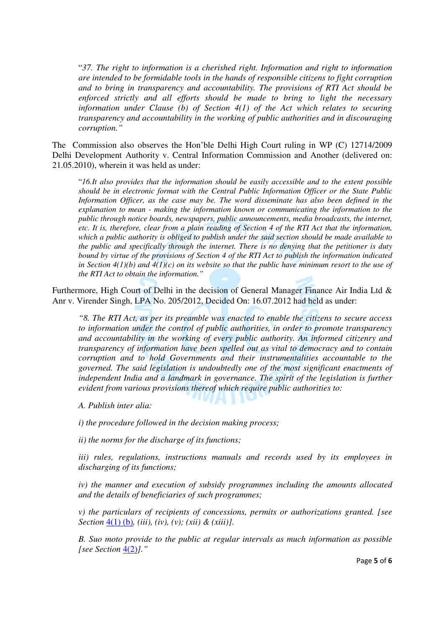"*37. The right to information is a cherished right. Information and right to information are intended to be formidable tools in the hands of responsible citizens to fight corruption and to bring in transparency and accountability. The provisions of RTI Act should be enforced strictly and all efforts should be made to bring to light the necessary information under Clause (b) of Section 4(1) of the Act which relates to securing transparency and accountability in the working of public authorities and in discouraging corruption."* 

The Commission also observes the Hon'ble Delhi High Court ruling in WP (C) 12714/2009 Delhi Development Authority v. Central Information Commission and Another (delivered on: 21.05.2010), wherein it was held as under:

"*16.It also provides that the information should be easily accessible and to the extent possible should be in electronic format with the Central Public Information Officer or the State Public Information Officer, as the case may be. The word disseminate has also been defined in the explanation to mean - making the information known or communicating the information to the public through notice boards, newspapers, public announcements, media broadcasts, the internet, etc. It is, therefore, clear from a plain reading of Section 4 of the RTI Act that the information, which a public authority is obliged to publish under the said section should be made available to the public and specifically through the internet. There is no denying that the petitioner is duty bound by virtue of the provisions of Section 4 of the RTI Act to publish the information indicated*  in Section  $4(1)(b)$  and  $4(1)(c)$  on its website so that the public have minimum resort to the use of *the RTI Act to obtain the information."* 

Furthermore, High Court of Delhi in the decision of General Manager Finance Air India Ltd & Anr v. Virender Singh, LPA No. 205/2012, Decided On: 16.07.2012 had held as under:

*"8. The RTI Act, as per its preamble was enacted to enable the citizens to secure access to information under the control of public authorities, in order to promote transparency and accountability in the working of every public authority. An informed citizenry and transparency of information have been spelled out as vital to democracy and to contain corruption and to hold Governments and their instrumentalities accountable to the governed. The said legislation is undoubtedly one of the most significant enactments of independent India and a landmark in governance. The spirit of the legislation is further evident from various provisions thereof which require public authorities to:* 

*A. Publish inter alia:* 

*i) the procedure followed in the decision making process;* 

*ii) the norms for the discharge of its functions;* 

*iii) rules, regulations, instructions manuals and records used by its employees in discharging of its functions;* 

*iv) the manner and execution of subsidy programmes including the amounts allocated and the details of beneficiaries of such programmes;* 

*v) the particulars of recipients of concessions, permits or authorizations granted. [see Section* 4(1) (b)*, (iii), (iv), (v); (xii) & (xiii)].* 

*B. Suo moto provide to the public at regular intervals as much information as possible [see Section* 4(2)*]."*